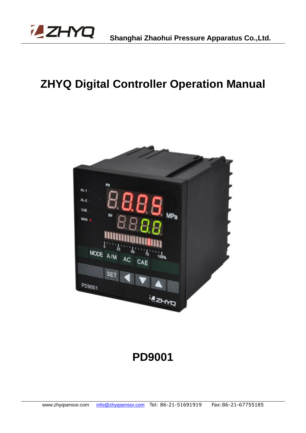

# **ZHYQ Digital Controller Operation Manual**



# **PD9001**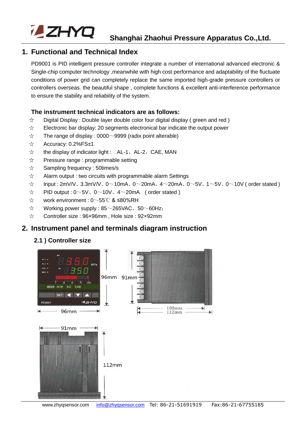

## **1. Functional and Technical Index**

PD9001 is PID intelligent pressure controller integrate a number of international advanced electronic & Single-chip computer technology ,meanwhile with high cost performance and adaptability of the fluctuate conditions of power grid can completely replace the same imported high-grade pressure controllers or controllers overseas. the beautiful shape , complete functions & excellent anti-interference performance to ensure the stability and reliability of the system.

#### **The instrument technical indicators are as follows:**

- $\chi^{\!\!\!\star}$ Digital Display : Double layer double color four digital display ( green and red )
- $\preceq^\mathbf{A}_\mathbf{X}$ Electronic bar display: 20 segments electronical bar indicate the output power
- $\frac{1}{\sqrt{2}}$ The range of display :  $0000 \sim 9999$  (radix point alterable)
- Accuracy: 0.2%FS±1  $\precsim$
- the display of indicator light : AL-1, AL-2, CAE, MAN  $\precsim$
- $\frac{1}{2}$ Pressure range : programmable setting
- $\prec$ Sampling frequency : 50times/s
- $\frac{1}{2}$ Alarm output : two circuits with programmable alarm Settings
- $\frac{1}{2}$ Input:  $2mV/V$ ,  $3.3mV/V$ ,  $0 \sim 10mA$ ,  $0 \sim 20mA$ ,  $4 \sim 20mA$ ,  $0 \sim 5V$ ,  $1 \sim 5V$ ,  $0 \sim 10V$  (order stated )
- $\vec{\mathbf{x}}$ PID output :  $0 \sim 5V$ ,  $0 \sim 10V$ ,  $4 \sim 20mA$  (order stated)
- $\lesssim$ work environment : 0~55℃ & ≤80%RH
- Working power supply :  $85~265$ VAC,  $50~60$ Hz;  $\sum_{i=1}^{n}$
- $\precsim$ Controller size : 96×96mm , Hole size : 92×92mm

#### **2. Instrument panel and terminals diagram instruction**

#### **2.1 ) Controller size**

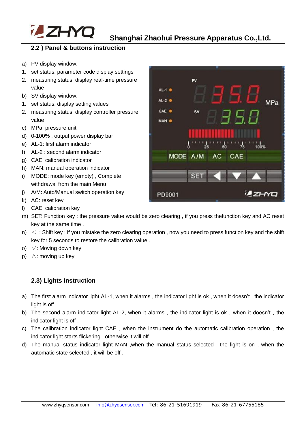

#### **2.2 ) Panel & buttons instruction**

- a) PV display window:
- 1. set status: parameter code display settings
- 2. measuring status: display real-time pressure value
- b) SV display window:
- 1. set status: display setting values
- 2. measuring status: display controller pressure value
- c) MPa: pressure unit
- d) 0-100% : output power display bar
- e) AL-1: first alarm indicator
- f) AL-2 : second alarm indicator
- g) CAE: calibration indicator
- h) MAN: manual operation indicator
- i) MODE: mode key (empty) , Complete withdrawal from the main Menu
- j) A/M: Auto/Manual switch operation key
- k) AC: reset key
- l) CAE: calibration key
- m) SET: Function key : the pressure value would be zero clearing , if you press thefunction key and AC reset key at the same time .
- $n$ )  $\leq$  : Shift key : if you mistake the zero clearing operation, now you need to press function key and the shift key for 5 seconds to restore the calibration value .
- o) ∨: Moving down key
- p) ∧: moving up key

#### **2.3) Lights Instruction**

- a) The first alarm indicator light AL-1, when it alarms , the indicator light is ok , when it doesn't , the indicator light is off .
- b) The second alarm indicator light AL-2, when it alarms , the indicator light is ok , when it doesn't , the indicator light is off.
- c) The calibration indicator light CAE , when the instrument do the automatic calibration operation , the indicator light starts flickering , otherwise it will off .
- d) The manual status indicator light MAN ,when the manual status selected , the light is on , when the automatic state selected , it will be off .

| $AL-1$ $\bullet$           |
|----------------------------|
| $AL-2$ $Q$<br>MPa          |
| CAE .<br><b>SV</b>         |
| MAN O                      |
|                            |
| $75$ 100%<br>ő<br>25<br>50 |
| MODE A/M AC CAE            |
|                            |
| <b>SET</b>                 |
| <b>LEANO</b><br>PD9001     |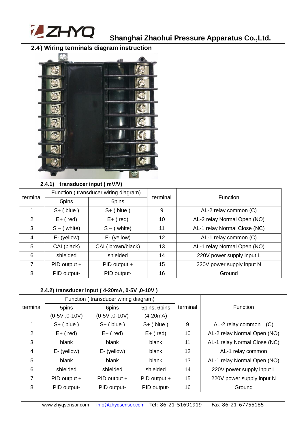

# **2.4) Wiring terminals diagram instruction**



#### **2.4.1) transducer input ( mV/V)**

| terminal      | Function (transducer wiring diagram) |                  |                                   | <b>Function</b>              |  |
|---------------|--------------------------------------|------------------|-----------------------------------|------------------------------|--|
|               | 5pins                                | 6pins            | terminal                          |                              |  |
|               | $S+$ (blue)                          | $S+$ (blue)      | 9                                 | AL-2 relay common (C)        |  |
| $\mathcal{P}$ | $E+$ (red)                           | $E+$ (red)       | AL-2 relay Normal Open (NO)<br>10 |                              |  |
| 3             | $S - (white)$                        | $S - (white)$    | 11                                | AL-1 relay Normal Close (NC) |  |
| 4             | E- (yellow)                          | E- (yellow)      | 12                                | AL-1 relay common (C)        |  |
| 5             | CAL(black)                           | CAL(brown/black) | 13                                | AL-1 relay Normal Open (NO)  |  |
| 6             | shielded                             | shielded         | 14                                | 220V power supply input L    |  |
| 7             | PID output +                         | PID output +     | 15                                | 220V power supply input N    |  |
| 8             | PID output-                          | PID output-      | 16                                | Ground                       |  |

#### **2.4.2) transducer input ( 4-20mA, 0-5V ,0-10V )**

|          |                 | Function (transducer wiring diagram) |              |          |                              |  |
|----------|-----------------|--------------------------------------|--------------|----------|------------------------------|--|
| terminal | 5pins           | 6pins                                | 5pins, 6pins | terminal | <b>Function</b>              |  |
|          | $(0-5V, 0-10V)$ | $(0-5V, 0-10V)$                      | $(4-20mA)$   |          |                              |  |
|          | $S+$ (blue)     | $S+$ (blue)                          | $S+$ (blue)  | 9        | AL-2 relay common<br>(C)     |  |
| 2        | $E+$ (red)      | $E+$ (red)                           | $E+$ (red)   | 10       | AL-2 relay Normal Open (NO)  |  |
| 3        | blank           | blank                                | blank        | 11       | AL-1 relay Normal Close (NC) |  |
| 4        | E- (yellow)     | E- (yellow)                          | blank        | 12       | AL-1 relay common            |  |
| 5        | blank           | blank                                | blank        | 13       | AL-1 relay Normal Open (NO)  |  |
| 6        | shielded        | shielded                             | shielded     | 14       | 220V power supply input L    |  |
| 7        | PID output +    | PID output +                         | PID output + | 15       | 220V power supply input N    |  |
| 8        | PID output-     | PID output-                          | PID output-  | 16       | Ground                       |  |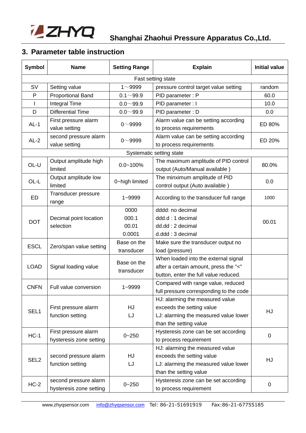

# **3. Parameter table instruction**

| Symbol             | <b>Name</b>                            | <b>Setting Range</b> | <b>Explain</b>                                                  | <b>Initial value</b> |  |  |
|--------------------|----------------------------------------|----------------------|-----------------------------------------------------------------|----------------------|--|--|
| Fast setting state |                                        |                      |                                                                 |                      |  |  |
| <b>SV</b>          | Setting value                          | $1 - 9999$           | pressure control target value setting                           | random               |  |  |
| P                  | <b>Proportional Band</b>               | $0.1 - 99.9$         | PID parameter: P                                                | 60.0                 |  |  |
| $\mathbf{I}$       | Integral Time                          | $0.0 - 99.9$         | PID parameter : I                                               | 10.0                 |  |  |
| D                  | <b>Differential Time</b>               | $0.0 - 99.9$         | PID parameter: D                                                | 0.0                  |  |  |
| $AL-1$             | First pressure alarm                   | $0 - 9999$           | Alarm value can be setting according                            | ED 80%               |  |  |
|                    | value setting                          |                      | to process requirements                                         |                      |  |  |
| $AL-2$             | second pressure alarm<br>value setting | $0 - 9999$           | Alarm value can be setting according<br>to process requirements | ED 20%               |  |  |
|                    |                                        |                      | Systematic setting state                                        |                      |  |  |
| OL-U               | Output amplitude high                  | $0.0 - 100\%$        | The maximum amplitude of PID control                            | 80.0%                |  |  |
|                    | limited                                |                      | output (Auto/Manual available)                                  |                      |  |  |
| OL-L               | Output amplitude low                   | 0~high limited       | The minximum amplitude of PID                                   | 0.0                  |  |  |
|                    | limited                                |                      | control output (Auto available)                                 |                      |  |  |
| ED                 | Transducer pressure<br>range           | $1 - 9999$           | According to the transducer full range                          | 1000                 |  |  |
|                    |                                        | 0000                 | dddd: no decimal                                                |                      |  |  |
| <b>DOT</b>         | Decimal point location                 | 000.1                | ddd.d: 1 decimal                                                | 00.01                |  |  |
|                    | selection                              | 00.01                | dd.dd: 2 decimal                                                |                      |  |  |
|                    |                                        | 0.0001               | d.ddd: 3 decimal                                                |                      |  |  |
| <b>ESCL</b>        | Zero/span value setting                | Base on the          | Make sure the transducer output no                              |                      |  |  |
|                    |                                        | transducer           | load (pressure)                                                 |                      |  |  |
|                    |                                        | Base on the          | When loaded into the external signal                            |                      |  |  |
| <b>LOAD</b>        | Signal loading value                   | transducer           | after a certain amount, press the "<"                           |                      |  |  |
|                    |                                        |                      | button, enter the full value reduced.                           |                      |  |  |
| <b>CNFN</b>        | Full value conversion                  | 1~9999               | Compared with range value, reduced                              |                      |  |  |
|                    |                                        |                      | full pressure corresponding to the code                         |                      |  |  |
|                    |                                        |                      | HJ: alarming the measured value                                 |                      |  |  |
| SEL1               | First pressure alarm                   | HJ                   | exceeds the setting value                                       | HJ                   |  |  |
|                    | function setting                       | LJ                   | LJ: alarming the measured value lower                           |                      |  |  |
|                    |                                        |                      | than the setting value                                          |                      |  |  |
| $HC-1$             | First pressure alarm                   | $0 - 250$            | Hysteresis zone can be set according                            | $\mathbf 0$          |  |  |
|                    | hysteresis zone setting                |                      | to process requirement                                          |                      |  |  |
|                    |                                        |                      | HJ: alarming the measured value                                 |                      |  |  |
| SEL <sub>2</sub>   | <b>HJ</b><br>second pressure alarm     |                      | exceeds the setting value                                       | HJ                   |  |  |
|                    | function setting<br>LJ                 |                      | LJ: alarming the measured value lower                           |                      |  |  |
|                    |                                        |                      | than the setting value                                          |                      |  |  |
| $HC-2$             | second pressure alarm                  | $0 - 250$            | Hysteresis zone can be set according                            | 0                    |  |  |
|                    | hysteresis zone setting                |                      | to process requirement                                          |                      |  |  |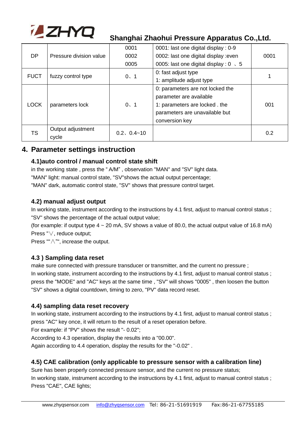

|                                   |                         | 0001            | 0001: last one digital display : 0-9          |      |
|-----------------------------------|-------------------------|-----------------|-----------------------------------------------|------|
| DP                                | Pressure division value | 0002            | 0002: last one digital display : even         | 0001 |
|                                   |                         | 0005            | 0005: last one digital display : $0 \times 5$ |      |
| <b>FUCT</b><br>fuzzy control type |                         | 0, 1            | 0: fast adjust type                           |      |
|                                   |                         |                 | 1: amplitude adjust type                      |      |
| <b>LOCK</b>                       | parameters lock         |                 | 0: parameters are not locked the              |      |
|                                   |                         | 0, 1            | parameter are available                       |      |
|                                   |                         |                 | 1: parameters are locked. the                 | 001  |
|                                   |                         |                 | parameters are unavailable but                |      |
|                                   |                         |                 | conversion key                                |      |
| TS                                | Output adjustment       | $0.2, 0.4 - 10$ |                                               | 0.2  |
|                                   | cycle                   |                 |                                               |      |

#### **4. Parameter settings instruction**

#### **4.1)auto control / manual control state shift**

in the working state , press the " A/M" , observation "MAN" and "SV" light data. "MAN" light: manual control state, "SV"shows the actual output percentage; "MAN" dark, automatic control state, "SV" shows that pressure control target.

#### **4.2) manual adjust output**

In working state, instrument according to the instructions by 4.1 first, adjust to manual control status ; "SV" shows the percentage of the actual output value;

(for example: if output type  $4 \sim 20$  mA, SV shows a value of 80.0, the actual output value of 16.8 mA) Press "∨, reduce output;

Press ""∧"", increase the output.

#### **4.3 ) Sampling data reset**

make sure connected with pressure transducer or transmitter, and the current no pressure ; In working state, instrument according to the instructions by 4.1 first, adjust to manual control status ; press the "MODE" and "AC" keys at the same time , "SV" will shows "0005" , then loosen the button "SV" shows a digital countdown, timing to zero, "PV" data record reset.

#### **4.4) sampling data reset recovery**

In working state, instrument according to the instructions by 4.1 first, adjust to manual control status ; press "AC" key once, it will return to the result of a reset operation before.

For example: if "PV" shows the result "- 0.02";

According to 4.3 operation, display the results into a "00.00".

Again according to 4.4 operation, display the results for the "-0.02" .

#### **4.5) CAE calibration (only applicable to pressure sensor with a calibration line)**

Sure has been properly connected pressure sensor, and the current no pressure status; In working state, instrument according to the instructions by 4.1 first, adjust to manual control status ; Press "CAE", CAE lights;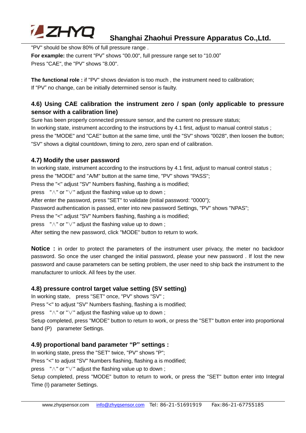

"PV" should be show 80% of full pressure range . **For example:** the current "PV" shows "00.00", full pressure range set to "10.00" Press "CAE", the "PV" shows "8.00".

**The functional role :** if "PV" shows deviation is too much , the instrument need to calibration; If "PV" no change, can be initially determined sensor is faulty.

#### **4.6) Using CAE calibration the instrument zero / span (only applicable to pressure sensor with a calibration line)**

Sure has been properly connected pressure sensor, and the current no pressure status;

In working state, instrument according to the instructions by 4.1 first, adjust to manual control status ; press the "MODE" and "CAE" button at the same time, until the "SV" shows "0028", then loosen the button; "SV" shows a digital countdown, timing to zero, zero span end of calibration.

#### **4.7) Modify the user password**

In working state, instrument according to the instructions by 4.1 first, adjust to manual control status ; press the "MODE" and "A/M" button at the same time, "PV" shows "PASS"; Press the "<" adjust "SV" Numbers flashing, flashing a is modified; press "∧" or "∨" adjust the flashing value up to down ; After enter the password, press "SET" to validate (initial password: "0000"); Password authentication is passed, enter into new password Settings, "PV" shows "NPAS"; Press the "<" adjust "SV" Numbers flashing, flashing a is modified; press "∧" or "∨" adjust the flashing value up to down ; After setting the new password, click "MODE" button to return to work.

**Notice** : in order to protect the parameters of the instrument user privacy, the meter no backdoor password. So once the user changed the initial password, please your new password . If lost the new password and cause parameters can be setting problem, the user need to ship back the instrument to the manufacturer to unlock. All fees by the user.

#### **4.8) pressure control target value setting (SV setting)**

In working state, press "SET" once, "PV" shows "SV" ;

Press "<" to adjust "SV" Numbers flashing, flashing a is modified;

press "∧" or "∨" adjust the flashing value up to down ;

Setup completed, press "MODE" button to return to work, or press the "SET" button enter into proportional band (P) parameter Settings.

#### **4.9) proportional band parameter "P" settings :**

In working state, press the "SET" twice, "PV" shows "P";

Press "<" to adjust "SV" Numbers flashing, flashing a is modified;

press "∧" or "∨" adjust the flashing value up to down ;

Setup completed, press "MODE" button to return to work, or press the "SET" button enter into Integral Time (I) parameter Settings.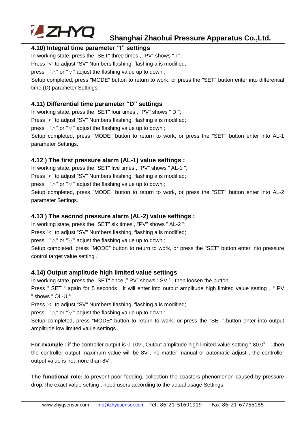

#### **4.10) Integral time parameter "I" settings**

In working state, press the "SET" three times , "PV" shows " I "; Press "<" to adjust "SV" Numbers flashing, flashing a is modified;

press "∧" or "∨" adjust the flashing value up to down ;

Setup completed, press "MODE" button to return to work, or press the "SET" button enter into differential time (D) parameter Settings.

#### **4.11) Differential time parameter "D" settings**

In working state, press the "SET" four times , "PV" shows " D "; Press "<" to adjust "SV" Numbers flashing, flashing a is modified; press "∧" or "∨" adjust the flashing value up to down ;

Setup completed, press "MODE" button to return to work, or press the "SET" button enter into AL-1 parameter Settings.

#### **4.12 ) The first pressure alarm (AL-1) value settings :**

In working state, press the "SET" five times , "PV" shows " AL-1 "; Press "<" to adjust "SV" Numbers flashing, flashing a is modified;

press "∧" or "∨" adjust the flashing value up to down ;

Setup completed, press "MODE" button to return to work, or press the "SET" button enter into AL-2 parameter Settings.

#### **4.13 ) The second pressure alarm (AL-2) value settings :**

In working state, press the "SET" six times , "PV" shows " AL-2 "; Press "<" to adjust "SV" Numbers flashing, flashing a is modified;

press "∧" or "∨" adjust the flashing value up to down ;

Setup completed, press "MODE" button to return to work, or press the "SET" button enter into pressure control target value setting .

#### **4.14) Output amplitude high limited value settings**

In working state, press the "SET" once ," PV" shows " SV " , then loosen the button

Press " SET " again for 5 seconds, it will enter into output amplitude high limited value setting, " PV " shows " OL-U "

Press "<" to adjust "SV" Numbers flashing, flashing a is modified;

press "∧" or "∨" adjust the flashing value up to down ;

Setup completed, press "MODE" button to return to work, or press the "SET" button enter into output amplitude low limited value settings .

**For example :** if the controller output is 0-10v, Output amplitude high limited value setting "80.0"; then the controller output maximum value will be 8V , no matter manual or automatic adjust , the controller output value is not more than 8V .

**The functional role:** to prevent poor feeding, collection the coasters phenomenon caused by pressure drop.The exact value setting , need users according to the actual usage Settings.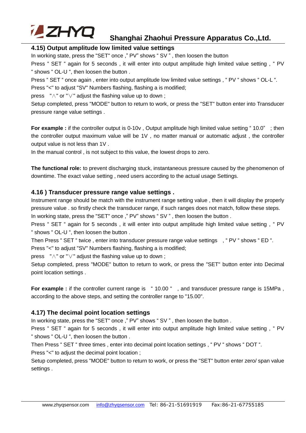

#### **4.15) Output amplitude low limited value settings**

In working state, press the "SET" once ," PV" shows " SV " , then loosen the button

Press " SET " again for 5 seconds, it will enter into output amplitude high limited value setting, " PV " shows " OL-U ", then loosen the button .

Press " SET " once again, enter into output amplitude low limited value settings, " PV " shows " OL-L ".

Press "<" to adjust "SV" Numbers flashing, flashing a is modified:

press "∧" or "∨" adjust the flashing value up to down ;

Setup completed, press "MODE" button to return to work, or press the "SET" button enter into Transducer pressure range value settings .

**For example :** if the controller output is 0-10v, Output amplitude high limited value setting "10.0" ; then the controller output maximum value will be 1V , no matter manual or automatic adjust , the controller output value is not less than 1V .

In the manual control , is not subject to this value, the lowest drops to zero.

**The functional role:** to prevent discharging stuck, instantaneous pressure caused by the phenomenon of downtime. The exact value setting , need users according to the actual usage Settings.

#### **4.16 ) Transducer pressure range value settings .**

Instrument range should be match with the instrument range setting value , then it will display the properly pressure value . so firstly check the transducer range, if such ranges does not match, follow these steps. In working state, press the "SET" once," PV" shows "SV", then loosen the button.

Press " SET " again for 5 seconds, it will enter into output amplitude high limited value setting, " PV " shows " OL-U ", then loosen the button .

Then Press " SET " twice , enter into transducer pressure range value settings , " PV " shows " ED ". Press "<" to adjust "SV" Numbers flashing, flashing a is modified;

press "∧" or "∨" adjust the flashing value up to down ;

Setup completed, press "MODE" button to return to work, or press the "SET" button enter into Decimal point location settings .

**For example :** if the controller current range is " 10.00 " , and transducer pressure range is 15MPa , according to the above steps, and setting the controller range to "15.00".

#### **4.17) The decimal point location settings**

In working state, press the "SET" once," PV" shows "SV", then loosen the button.

Press " SET " again for 5 seconds, it will enter into output amplitude high limited value setting, " PV " shows " OL-U ", then loosen the button .

Then Press " SET " three times , enter into decimal point location settings , " PV " shows " DOT ".

Press "<" to adjust the decimal point location ;

Setup completed, press "MODE" button to return to work, or press the "SET" button enter zero/ span value settings .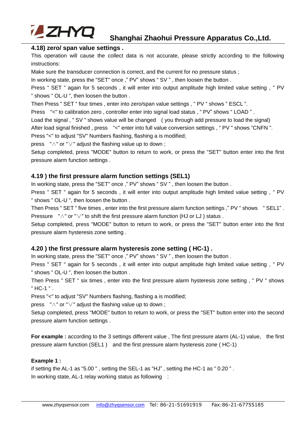

#### **4.18) zero/ span value settings .**

This operation will cause the collect data is not accurate, please strictly according to the following instructions:

Make sure the transducer connection is correct, and the current for no pressure status ;

In working state, press the "SET" once," PV" shows "SV", then loosen the button.

Press " SET " again for 5 seconds, it will enter into output amplitude high limited value setting, " PV " shows " OL-U ", then loosen the button .

Then Press " SET " four times , enter into zero/span value settings , " PV " shows " ESCL ".

Press "<" to calibration zero, controller enter into signal load status, "PV" shows "LOAD".

Load the signal, "SV " shows value will be changed ( you through add pressure to load the signal)

After load signal finished , press "<" enter into full value conversion settings , " PV " shows "CNFN ".

Press "<" to adjust "SV" Numbers flashing, flashing a is modified;

press "∧" or "∨" adjust the flashing value up to down ;

Setup completed, press "MODE" button to return to work, or press the "SET" button enter into the first pressure alarm function settings .

#### **4.19 ) the first pressure alarm function settings (SEL1)**

In working state, press the "SET" once," PV" shows "SV", then loosen the button.

Press " SET " again for 5 seconds, it will enter into output amplitude high limited value setting, " PV " shows " OL-U ", then loosen the button .

Then Press " SET " five times , enter into the first pressure alarm function settings ," PV " shows " SEL1" . Pressure "∧" or " $\vee$ " to shift the first pressure alarm function (HJ or LJ) status.

Setup completed, press "MODE" button to return to work, or press the "SET" button enter into the first pressure alarm hysteresis zone setting .

#### **4.20 ) the first pressure alarm hysteresis zone setting ( HC-1) .**

In working state, press the "SET" once ," PV" shows " SV " , then loosen the button .

Press " SET " again for 5 seconds, it will enter into output amplitude high limited value setting, " PV " shows " OL-U ", then loosen the button .

Then Press " SET " six times , enter into the first pressure alarm hysteresis zone setting , " PV " shows " HC-1 " .

Press "<" to adjust "SV" Numbers flashing, flashing a is modified;

press "∧" or "∨" adjust the flashing value up to down ;

Setup completed, press "MODE" button to return to work, or press the "SET" button enter into the second pressure alarm function settings .

**For example :** according to the 3 settings different value, The first pressure alarm (AL-1) value, the first pressure alarm function (SEL1 ) and the first pressure alarm hysteresis zone ( HC-1)

#### **Example 1 :**

if setting the AL-1 as "5.00 " , setting the SEL-1 as "HJ" , setting the HC-1 as " 0.20 " . In working state, AL-1 relay working status as following :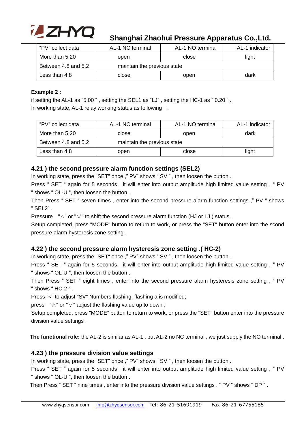

| "PV" collect data      | AL-1 NC terminal            | AL-1 NO terminal | AL-1 indicator |  |  |
|------------------------|-----------------------------|------------------|----------------|--|--|
| More than 5.20<br>open |                             | close            | light          |  |  |
| Between 4.8 and 5.2    | maintain the previous state |                  |                |  |  |
| Less than 4.8<br>close |                             | open             | dark           |  |  |

#### **Example 2 :**

if setting the AL-1 as "5.00 " , setting the SEL1 as "LJ" , setting the HC-1 as " 0.20 " . In working state, AL-1 relay working status as following :

| "PV" collect data     | AL-1 NC terminal<br>AL-1 NO terminal |       | AL-1 indicator |  |  |
|-----------------------|--------------------------------------|-------|----------------|--|--|
| More than 5.20        | close<br>open                        |       | dark           |  |  |
| Between 4.8 and 5.2   | maintain the previous state          |       |                |  |  |
| Less than 4.8<br>open |                                      | close | light          |  |  |

#### **4.21 ) the second pressure alarm function settings (SEL2)**

In working state, press the "SET" once," PV" shows "SV", then loosen the button.

Press " SET " again for 5 seconds, it will enter into output amplitude high limited value setting, " PV " shows " OL-U ", then loosen the button .

Then Press " SET " seven times , enter into the second pressure alarm function settings ," PV " shows " SEL2" .

Pressure "∧" or "∨" to shift the second pressure alarm function (HJ or LJ) status.

Setup completed, press "MODE" button to return to work, or press the "SET" button enter into the scond pressure alarm hysteresis zone setting .

#### **4.22 ) the second pressure alarm hysteresis zone setting .( HC-2)**

In working state, press the "SET" once," PV" shows "SV", then loosen the button.

Press " SET " again for 5 seconds, it will enter into output amplitude high limited value setting, " PV " shows " OL-U ", then loosen the button .

Then Press " SET " eight times , enter into the second pressure alarm hysteresis zone setting , " PV " shows " HC-2 " .

Press "<" to adjust "SV" Numbers flashing, flashing a is modified;

press "∧" or "∨" adjust the flashing value up to down ;

Setup completed, press "MODE" button to return to work, or press the "SET" button enter into the pressure division value settings .

**The functional role:** the AL-2 is similar as AL-1 , but AL-2 no NC terminal , we just supply the NO terminal .

#### **4.23 ) the pressure division value settings**

In working state, press the "SET" once," PV" shows "SV", then loosen the button.

Press " SET " again for 5 seconds, it will enter into output amplitude high limited value setting, " PV " shows " OL-U ", then loosen the button .

Then Press " SET " nine times , enter into the pressure division value settings . " PV " shows " DP " .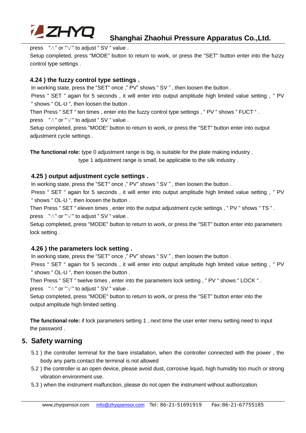

press "∧" or "∨" to adjust " SV " value .

Setup completed, press "MODE" button to return to work, or press the "SET" button enter into the fuzzy control type settings .

#### **4.24 ) the fuzzy control type settings .**

In working state, press the "SET" once," PV" shows "SV", then loosen the button.

Press " SET " again for 5 seconds, it will enter into output amplitude high limited value setting, " PV " shows " OL-U ", then loosen the button .

Then Press " SET " ten times , enter into the fuzzy control type settings , " PV " shows " FUCT " . press "∧" or "∨" to adjust " SV " value .

Setup completed, press "MODE" button to return to work, or press the "SET" button enter into output adjustment cycle settings .

**The functional role:** type 0 adjustment range is big, is suitable for the plate making industry .

type 1 adjustment range is small, be applicable to the silk industry .

#### **4.25 ) output adjustment cycle settings .**

In working state, press the "SET" once ," PV" shows " SV " , then loosen the button .

Press " SET " again for 5 seconds, it will enter into output amplitude high limited value setting, " PV " shows " OL-U ", then loosen the button .

Then Press " SET " eleven times , enter into the output adjustment cycle settings , " PV " shows " TS " . press "∧" or "∨" to adjust " SV " value .

Setup completed, press "MODE" button to return to work, or press the "SET" button enter into parameters lock setting .

#### **4.26 ) the parameters lock setting .**

In working state, press the "SET" once," PV" shows "SV", then loosen the button.

Press " SET " again for 5 seconds, it will enter into output amplitude high limited value setting, " PV " shows " OL-U ", then loosen the button .

Then Press " SET " twelve times , enter into the parameters lock setting , " PV " shows " LOCK " . press "∧" or "∨" to adjust " SV " value .

Setup completed, press "MODE" button to return to work, or press the "SET" button enter into the output amplitude high limited setting .

**The functional role:** if lock parameters setting 1 , next time the user enter menu setting need to input the password .

#### **5. Safety warning**

- 5.1 ) the controller terminal for the bare installation, when the controller connected with the power , the body any parts contact the terminal is not allowed
- 5.2 ) the controller is an open device, please avoid dust, corrosive liquid, high humidity too much or strong vibration environment use.
- 5.3 ) when the instrument malfunction, please do not open the instrument without authorization.